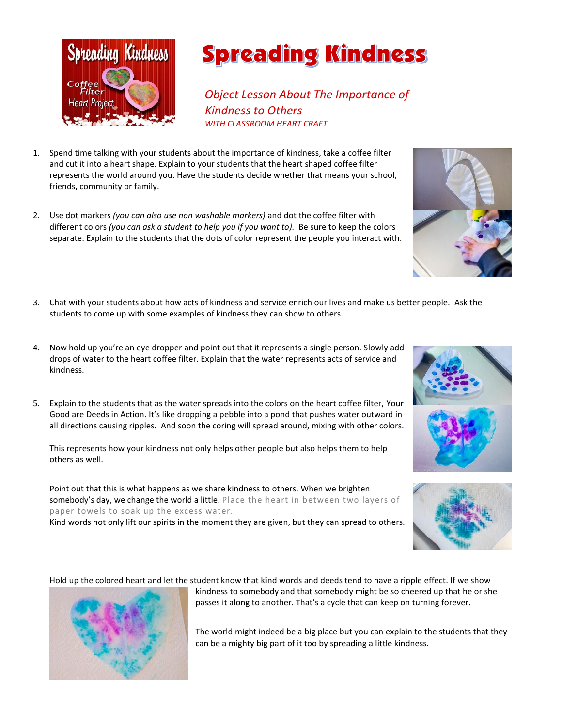

## **Spreading Kindness**

 *Object Lesson About The Importance of Kindness to Others WITH CLASSROOM HEART CRAFT*

- 1. Spend time talking with your students about the importance of kindness, take a coffee filter and cut it into a heart shape. Explain to your students that the heart shaped coffee filter represents the world around you. Have the students decide whether that means your school, friends, community or family.
- 2. Use dot markers *(you can also use non washable markers)* and dot the coffee filter with different colors *(you can ask a student to help you if you want to).* Be sure to keep the colors separate. Explain to the students that the dots of color represent the people you interact with.
- 3. Chat with your students about how acts of kindness and service enrich our lives and make us better people. Ask the students to come up with some examples of kindness they can show to others.
- 4. Now hold up you're an eye dropper and point out that it represents a single person. Slowly add drops of water to the heart coffee filter. Explain that the water represents acts of service and kindness.
- 5. Explain to the students that as the water spreads into the colors on the heart coffee filter, Your Good are Deeds in Action. It's like dropping a pebble into a pond that pushes water outward in all directions causing ripples. And soon the coring will spread around, mixing with other colors.

This represents how your kindness not only helps other people but also helps them to help others as well.

Point out that this is what happens as we share kindness to others. When we brighten somebody's day, we change the world a little. Place the heart in between two layers of paper towels to soak up the excess water. Kind words not only lift our spirits in the moment they are given, but they can spread to others.

Hold up the colored heart and let the student know that kind words and deeds tend to have a ripple effect. If we show



passes it along to another. That's a cycle that can keep on turning forever.

kindness to somebody and that somebody might be so cheered up that he or she

The world might indeed be a big place but you can explain to the students that they can be a mighty big part of it too by spreading a little kindness.